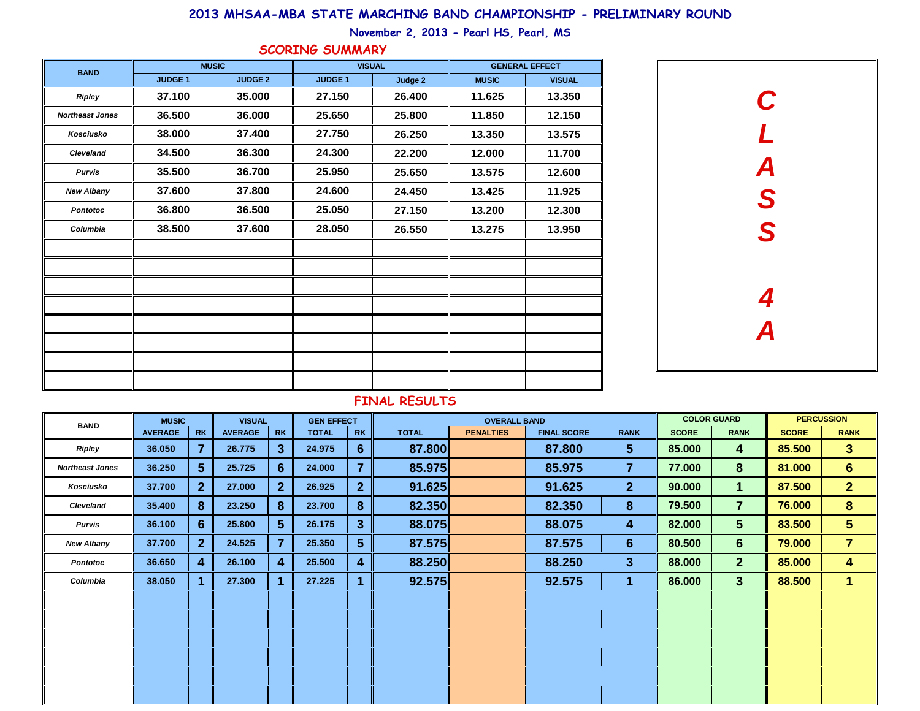| <b>BAND</b>            | <b>MUSIC</b>   |                 |                | <b>VISUAL</b>    | <b>GEN EFFECT</b> |                  |              | <b>OVERALL BAND</b> |                    |                |              |                | <b>PERCUSSION</b> |                         |  |
|------------------------|----------------|-----------------|----------------|------------------|-------------------|------------------|--------------|---------------------|--------------------|----------------|--------------|----------------|-------------------|-------------------------|--|
|                        | <b>AVERAGE</b> | <b>RK</b>       | <b>AVERAGE</b> | <b>RK</b>        | <b>TOTAL</b>      | <b>RK</b>        | <b>TOTAL</b> | <b>PENALTIES</b>    | <b>FINAL SCORE</b> | <b>RANK</b>    | <b>SCORE</b> | <b>RANK</b>    | <b>SCORE</b>      | <b>RANK</b>             |  |
| <b>Ripley</b>          | 36.050         | 7               | 26.775         | 3                | 24.975            | $6 \overline{6}$ | 87.800       |                     | 87.800             | $5\phantom{1}$ | 85.000       | 4              | 85.500            | 3 <sup>1</sup>          |  |
| <b>Northeast Jones</b> | 36.250         | $5\overline{)}$ | 25.725         | $6 \overline{6}$ | 24.000            | $\overline{7}$   | 85.975       |                     | 85.975             | $\overline{7}$ | 77.000       | 8              | 81.000            | 6                       |  |
| Kosciusko              | 37.700         | 2 <sup>1</sup>  | 27.000         | 2 <sup>1</sup>   | 26.925            | 2 <sup>1</sup>   | 91.625       |                     | 91.625             | 2 <sup>1</sup> | 90.000       | 1              | 87.500            | 2 <sup>1</sup>          |  |
| <b>Cleveland</b>       | 35.400         | $\bf{8}$        | 23.250         | $\bf{8}$         | 23.700            | 8                | 82.350       |                     | 82.350             | 8 <sup>°</sup> | 79.500       | $\overline{7}$ | 76.000            | 8                       |  |
| <b>Purvis</b>          | 36.100         | 6 <sup>°</sup>  | 25.800         | 5 <sup>5</sup>   | 26.175            | 3 <sup>5</sup>   | 88.075       |                     | 88.075             | 4              | 82.000       | 5 <sup>5</sup> | 83.500            | 5 <sup>5</sup>          |  |
| <b>New Albany</b>      | 37.700         | 2 <sup>1</sup>  | 24.525         | $\overline{7}$   | 25.350            | 5 <sup>5</sup>   | 87.575       |                     | 87.575             | 6              | 80.500       | $6\phantom{1}$ | 79.000            | $\overline{7}$          |  |
| <b>Pontotoc</b>        | 36.650         | $\overline{4}$  | 26.100         | $\boldsymbol{4}$ | 25.500            | $\boldsymbol{4}$ | 88.250       |                     | 88.250             | 3              | 88.000       | 2 <sup>2</sup> | 85.000            | $\overline{\mathbf{4}}$ |  |
| Columbia               | 38.050         |                 | 27.300         |                  | 27.225            |                  | 92.575       |                     | 92.575             | 1              | 86.000       | 3 <sup>5</sup> | 88.500            | 1                       |  |
|                        |                |                 |                |                  |                   |                  |              |                     |                    |                |              |                |                   |                         |  |
|                        |                |                 |                |                  |                   |                  |              |                     |                    |                |              |                |                   |                         |  |
|                        |                |                 |                |                  |                   |                  |              |                     |                    |                |              |                |                   |                         |  |
|                        |                |                 |                |                  |                   |                  |              |                     |                    |                |              |                |                   |                         |  |
|                        |                |                 |                |                  |                   |                  |              |                     |                    |                |              |                |                   |                         |  |
|                        |                |                 |                |                  |                   |                  |              |                     |                    |                |              |                |                   |                         |  |

| <b>BAND</b>            | <b>MUSIC</b>   |                | <b>VISUAL</b>  |                | <b>GENERAL EFFECT</b> |               |  |  |  |
|------------------------|----------------|----------------|----------------|----------------|-----------------------|---------------|--|--|--|
|                        | <b>JUDGE 1</b> | <b>JUDGE 2</b> | <b>JUDGE 1</b> | <b>Judge 2</b> | <b>MUSIC</b>          | <b>VISUAL</b> |  |  |  |
| <b>Ripley</b>          | 37.100         | 35.000         | 27.150         | 26.400         | 11.625                | 13.350        |  |  |  |
| <b>Northeast Jones</b> | 36.500         | 36.000         | 25.650         | 25.800         | 11.850                | 12.150        |  |  |  |
| Kosciusko              | 38.000         | 37.400         | 27.750         | 26.250         | 13.350                | 13.575        |  |  |  |
| <b>Cleveland</b>       | 34.500         | 36.300         | 24.300         | 22.200         | 12.000                | 11.700        |  |  |  |
| <b>Purvis</b>          | 35.500         | 36.700         | 25.950         | 25.650         | 13.575                | 12.600        |  |  |  |
| <b>New Albany</b>      | 37.600         | 37.800         | 24.600         | 24.450         | 13.425                | 11.925        |  |  |  |
| <b>Pontotoc</b>        | 36.800         | 36.500         | 25.050         | 27.150         | 13.200                | 12.300        |  |  |  |
| Columbia               | 38.500         | 37.600         | 28.050         | 26.550         | 13.275                | 13.950        |  |  |  |
|                        |                |                |                |                |                       |               |  |  |  |
|                        |                |                |                |                |                       |               |  |  |  |
|                        |                |                |                |                |                       |               |  |  |  |
|                        |                |                |                |                |                       |               |  |  |  |
|                        |                |                |                |                |                       |               |  |  |  |
|                        |                |                |                |                |                       |               |  |  |  |
|                        |                |                |                |                |                       |               |  |  |  |
|                        |                |                |                |                |                       |               |  |  |  |

## **FINAL RESULTS**



## **2013 MHSAA-MBA STATE MARCHING BAND CHAMPIONSHIP - PRELIMINARY ROUND**

**November 2, 2013 - Pearl HS, Pearl, MS**

## **SCORING SUMMARY**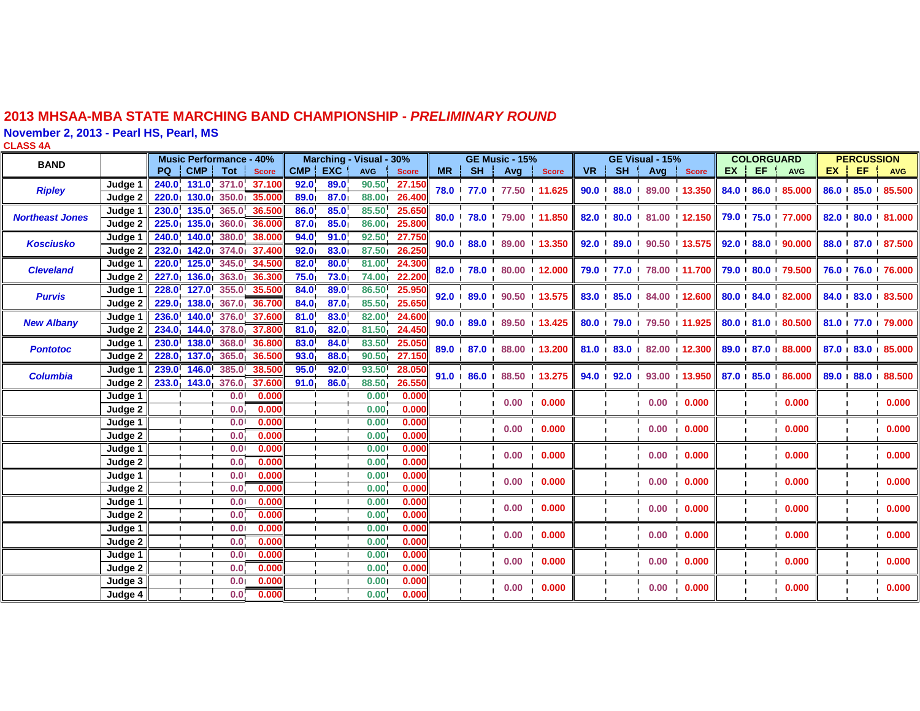## **2013 MHSAA-MBA STATE MARCHING BAND CHAMPIONSHIP -** *PRELIMINARY ROUND*

**November 2, 2013 - Pearl HS, Pearl, MS**

**CLASS 4A**

| <b>BAND</b>            |                    | <b>Music Performance - 40%</b> |                          |                   |                          | Marching - Visual - 30% |      |            |              |    |      | <b>GE Music - 15%</b>    |                        |    | <b>GE Visual - 15%</b> |                                                                   |                                         |  | <b>COLORGUARD</b> |                  |                  | <b>PERCUSSION</b> |                  |  |
|------------------------|--------------------|--------------------------------|--------------------------|-------------------|--------------------------|-------------------------|------|------------|--------------|----|------|--------------------------|------------------------|----|------------------------|-------------------------------------------------------------------|-----------------------------------------|--|-------------------|------------------|------------------|-------------------|------------------|--|
|                        |                    | PQ.                            | CMP <sup>1</sup>         | Tot               | <b>Score</b>             | CMP EXC                 |      | <b>AVG</b> | <b>Score</b> | MR | SH ' | Avg                      | <b>Score</b>           | VR | SH !                   |                                                                   | Avg Score                               |  | $EX$ EF           | AVG              | EX               |                   | EF MYG           |  |
| <b>Ripley</b>          | Judge <sup>®</sup> |                                |                          |                   | 240.0 131.0 371.0 37.100 | 92.0                    | 89.0 | 90.50      | 27.150       |    |      | 78.0 77.0 77.50 11.625   |                        |    |                        |                                                                   | 90.0 88.0 89.00 13.350                  |  |                   | 84.0 86.0 85.000 |                  |                   | 86.0 85.0 85.500 |  |
|                        | Judge 2            |                                |                          |                   | 220.0 130.0 350.0 35.000 | 89.0                    | 87.0 | 88.00      | 26.40        |    |      |                          |                        |    |                        |                                                                   |                                         |  |                   |                  |                  |                   |                  |  |
| <b>Northeast Jones</b> | Judge 1            | 230.0 135.0                    |                          |                   | 365.0 36.500             | 86.0                    | 85.0 | 85.50      | 25.65        |    |      | 80.0 78.0 79.00 11.850   |                        |    |                        |                                                                   | 82.0 80.0 81.00 12.150                  |  |                   | 79.0 75.0 77.000 |                  |                   | 82.0 80.0 81.000 |  |
|                        | Judge 2            | 225.0 135.0                    |                          | 360.0             | 36.000                   | 87.0                    | 85.0 | 86.00      | 25.80        |    |      |                          |                        |    | $\blacksquare$         |                                                                   |                                         |  |                   |                  |                  |                   |                  |  |
| <b>Kosciusko</b>       | Judge 1            | 240.0                          | 140.0                    |                   | 380.0 38.000             | 94.0                    | 91.0 | 92.50      | 27.750       |    |      | 90.0 $88.0$ 89.00 13.350 |                        |    | 92.0 89.0 90.50 13.575 |                                                                   |                                         |  |                   | 92.0 88.0 90.000 |                  |                   | 88.0 87.0 87.500 |  |
|                        | Judge 2            |                                |                          |                   | 232.0 142.0 374.0 37.400 | 92.0 <sub>1</sub>       | 83.0 | 87.50      | 26.25        |    |      |                          |                        |    |                        |                                                                   |                                         |  |                   |                  |                  |                   |                  |  |
| <b>Cleveland</b>       | Judge 1            |                                |                          |                   | 220.0 125.0 345.0 34.500 | 82.0                    | 80.0 | 81.00      | 24.300       |    |      |                          | 82.0 78.0 80.00 12.000 |    |                        |                                                                   | 79.0 77.0 78.00 11.700 79.0 80.0 79.500 |  |                   |                  |                  |                   | 76.0 76.0 76.000 |  |
|                        | Judge 2            |                                |                          |                   | 227.0 136.0 363.0 36.300 | 75.0                    | 73.0 | 74.00      | 22.200       |    |      |                          |                        |    |                        |                                                                   |                                         |  |                   |                  |                  |                   |                  |  |
| <b>Purvis</b>          | Judge 1            |                                | $228.0$ 127.0 355.0      |                   | 35.500                   | 84.0                    | 89.0 | 86.50      | 25.950       |    |      | 92.0 89.0 90.50 13.575   |                        |    |                        | 83.0 85.0 84.00 12.600                                            |                                         |  |                   | 80.0 84.0 82.000 | 84.0 83.0 83.500 |                   |                  |  |
|                        | Judge 2            |                                |                          |                   | 229.0 138.0 367.0 36.700 | 84.0 <sub>1</sub>       | 87.0 | 85.50      | 25.65        |    |      |                          |                        |    |                        |                                                                   |                                         |  |                   |                  |                  |                   |                  |  |
| <b>New Albany</b>      | Judge 1            |                                |                          |                   | 236.0 140.0 376.0 37.600 | 81.0                    | 83.0 | 82.00      | 24.600       |    |      |                          | 90.0 89.0 89.50 13.425 |    |                        | 80.0 79.0 79.50 11.925 80.0 81.0 80.500                           |                                         |  |                   |                  |                  | 81.0 77.0 79.000  |                  |  |
|                        | Judge 2            |                                | 234.0 144.0 378.0 37.800 |                   |                          | 81.0                    | 82.0 | 81.50      | 24.450       |    |      |                          |                        |    |                        |                                                                   |                                         |  |                   |                  |                  |                   |                  |  |
| <b>Pontotoc</b>        | Judge 1            | 230.0 138.0                    |                          | 368.0             | 36.800                   | 83.0                    | 84.0 | 83.50      | 25.050       |    |      | 89.0 87.0 88.00 13.200   |                        |    | 81.0 83.0 82.00 12.300 |                                                                   |                                         |  |                   | 89.0 87.0 88.000 |                  |                   | 87.0 83.0 85.000 |  |
|                        | Judge 2            | 228.0 137.0                    |                          | 365.0             | 36.500                   | 93.0                    | 88.0 | 90.50      | 27.150       |    |      |                          |                        |    |                        |                                                                   |                                         |  |                   |                  |                  |                   |                  |  |
| <b>Columbia</b>        | Judge 1            | 239.0 146.0                    |                          | 385.0             | 38.500                   | 95.0                    | 92.0 | 93.50      | 28.050       |    |      | 91.0 86.0 88.50 13.275   |                        |    |                        | $94.0$   $92.0$   $93.00$   $13.950$   $87.0$   $85.0$   $86.000$ |                                         |  |                   |                  |                  | 89.0 88.0 88.500  |                  |  |
|                        | Judge 2            |                                |                          |                   | 233.0 143.0 376.0 37.600 | 91.0 <sub>1</sub>       | 86.0 | 88.50      | 26.550       |    |      |                          |                        |    |                        |                                                                   |                                         |  |                   |                  |                  |                   |                  |  |
|                        | Judge 1            |                                |                          | $\overline{0.0}$  | 0.000                    |                         |      | 0.00       | 0.000        |    |      |                          | 0.00 0.000             |    |                        |                                                                   | 0.00 0.000                              |  |                   | 0.000            |                  |                   | 10.000           |  |
|                        | Judge 2            |                                |                          | 0.0 <sub>1</sub>  | 0.000                    |                         |      | 0.00       | 0.000        |    |      |                          |                        |    |                        |                                                                   |                                         |  |                   |                  |                  |                   |                  |  |
|                        | Judge 1            |                                |                          | 0.0               | 0.000                    |                         |      | 0.00       | 0.000        |    |      |                          | 0.00 0.000             |    |                        |                                                                   | 0.00 0.000                              |  |                   | 0.000            |                  |                   | 10.000           |  |
|                        | Judge 2            |                                |                          | 0.0 <sub>1</sub>  | 0.000                    |                         |      | 0.00       | 0.000        |    |      |                          |                        |    |                        |                                                                   |                                         |  |                   |                  |                  |                   |                  |  |
|                        | Judge 1            |                                |                          | $\overline{0.0}$  | 0.000                    |                         |      | 0.001      | 0.000        |    |      |                          | 0.00 0.000             |    |                        |                                                                   | 0.00 0.000                              |  |                   | 0.000            |                  |                   | 10.000           |  |
|                        | Judge 2            |                                |                          | 0.0               | 0.000                    |                         |      | 0.00       | 0.000        |    |      |                          |                        |    |                        |                                                                   |                                         |  |                   |                  |                  |                   |                  |  |
|                        | Judge 1            |                                |                          | 0.0               | 0.000                    |                         |      | 0.00       | 0.000        |    |      |                          | 0.00 0.000             |    |                        |                                                                   | 0.00 0.000                              |  |                   | 0.000            |                  |                   | 0.000            |  |
|                        | Judge 2            |                                |                          | 0.0               | 0.000                    |                         |      | 0.00       | 0.000        |    |      |                          |                        |    |                        |                                                                   |                                         |  |                   |                  |                  |                   |                  |  |
|                        | Judge 1            |                                |                          | 0.0               | 0.000                    |                         |      | 0.00       | 0.000        |    |      |                          | 0.00 0.000             |    |                        |                                                                   | 0.00 0.000                              |  |                   | 0.000            |                  |                   | 0.000            |  |
|                        | Judge 2            |                                |                          | 0.0               | 0.000                    |                         |      | 0.00       | 0.000        |    |      |                          |                        |    |                        |                                                                   |                                         |  |                   |                  |                  |                   |                  |  |
|                        | Judge 1            |                                |                          | $\overline{0.01}$ | 0.000                    | - 1                     |      | 0.001      | 0.000        |    |      |                          | 0.00 0.000             |    |                        |                                                                   | 0.00 0.000                              |  |                   | 0.000            |                  |                   | 0.000            |  |
|                        | Judge 2            |                                |                          | 0.0               | 0.000                    |                         |      | 0.00       | 0.000        |    |      |                          |                        |    |                        |                                                                   |                                         |  |                   |                  |                  |                   |                  |  |
|                        | Judge 1            |                                |                          | 0.01              | 0.000                    | $\blacksquare$          |      | 0.001      | 0.000        |    |      |                          | 0.00 0.000             |    |                        |                                                                   | 0.00 0.000                              |  |                   | 0.000            |                  |                   | 0.000            |  |
|                        | Judge 2            |                                |                          | 0.0               | 0.000                    |                         |      | 0.00       | 0.000        |    |      |                          |                        |    |                        |                                                                   |                                         |  |                   |                  |                  |                   |                  |  |
|                        | Judge 3            |                                |                          | 0.01              | 0.000                    |                         |      | 0.001      | 0.000        |    |      |                          | 0.00 0.000             |    |                        |                                                                   | 0.00 0.000                              |  |                   | 0.000            |                  |                   | 0.000            |  |
|                        | Judge 4            |                                |                          | 0.0               | 0.000                    |                         |      | 0.00       | 0.000        |    |      |                          |                        |    |                        |                                                                   |                                         |  |                   |                  |                  |                   |                  |  |